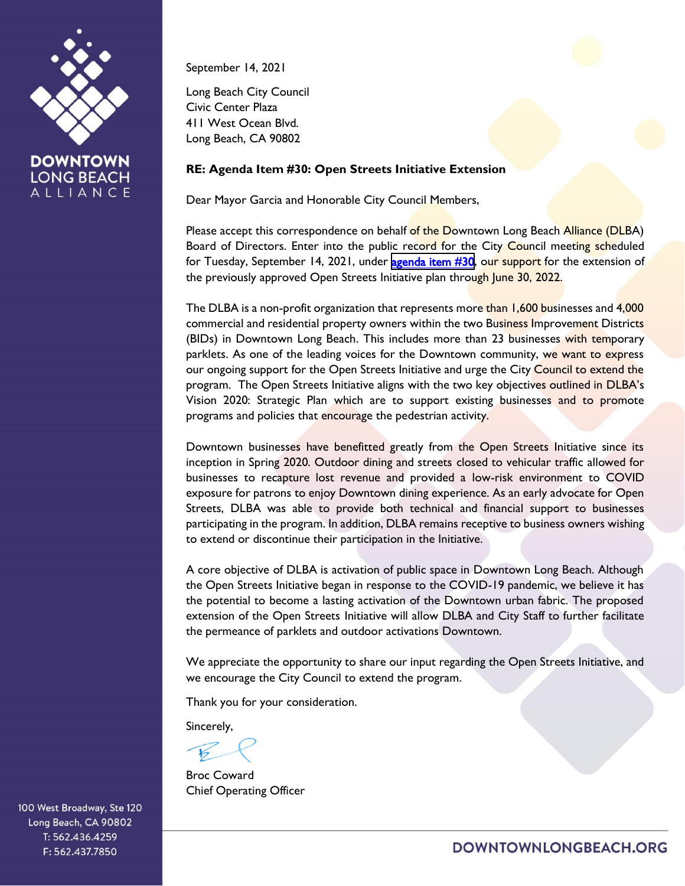

**DOWNTOWN LONG BEACH** ALLIANCE

September 14, 2021

Long Beach City Council Civic Center Plaza 411 West Ocean Blvd. Long Beach, CA 90802

## **RE: Agenda Item #30: Open Streets Initiative Extension**

Dear Mayor Garcia and Honorable City Council Members,

Please accept this correspondence on behalf of the Downtown Long Beach Alliance (DLBA) Board of Directors. Enter into the public record for the City Council meeting scheduled for Tuesday, September 14, 2021, under [agenda item #30](http://longbeach.legistar.com/View.ashx?M=F&ID=9785433&GUID=11CCBF79-FEC6-46C5-83EF-6F5E8AA412BD), our support for the extension of the previously approved Open Streets Initiative plan through June 30, 2022.

The DLBA is a non-profit organization that represents more than 1,600 businesses and 4,000 commercial and residential property owners within the two Business Improvement Districts (BIDs) in Downtown Long Beach. This includes more than 23 businesses with temporary parklets. As one of the leading voices for the Downtown community, we want to express our ongoing support for the Open Streets Initiative and urge the City Council to extend the program. The Open Streets Initiative aligns with the two key objectives outlined in DLBA's Vision 2020: Strategic Plan which are to support existing businesses and to promote programs and policies that encourage the pedestrian activity.

Downtown businesses have benefitted greatly from the Open Streets Initiative since its inception in Spring 2020. Outdoor dining and streets closed to vehicular traffic allowed for businesses to recapture lost revenue and provided a low-risk environment to COVID exposure for patrons to enjoy Downtown dining experience. As an early advocate for Open Streets, DLBA was able to provide both technical and financial support to businesses participating in the program. In addition, DLBA remains receptive to business owners wishing to extend or discontinue their participation in the Initiative.

A core objective of DLBA is activation of public space in Downtown Long Beach. Although the Open Streets Initiative began in response to the COVID-19 pandemic, we believe it has the potential to become a lasting activation of the Downtown urban fabric. The proposed extension of the Open Streets Initiative will allow DLBA and City Staff to further facilitate the permeance of parklets and outdoor activations Downtown.

We appreciate the opportunity to share our input regarding the Open Streets Initiative, and we encourage the City Council to extend the program.

Thank you for your consideration.

Sincerely,

Broc Coward Chief Operating Officer

100 West Broadway, Ste 120 Long Beach, CA 90802 T: 562.436.4259 F: 562.437.7850

DOWNTOWNLONGBEACH.ORG